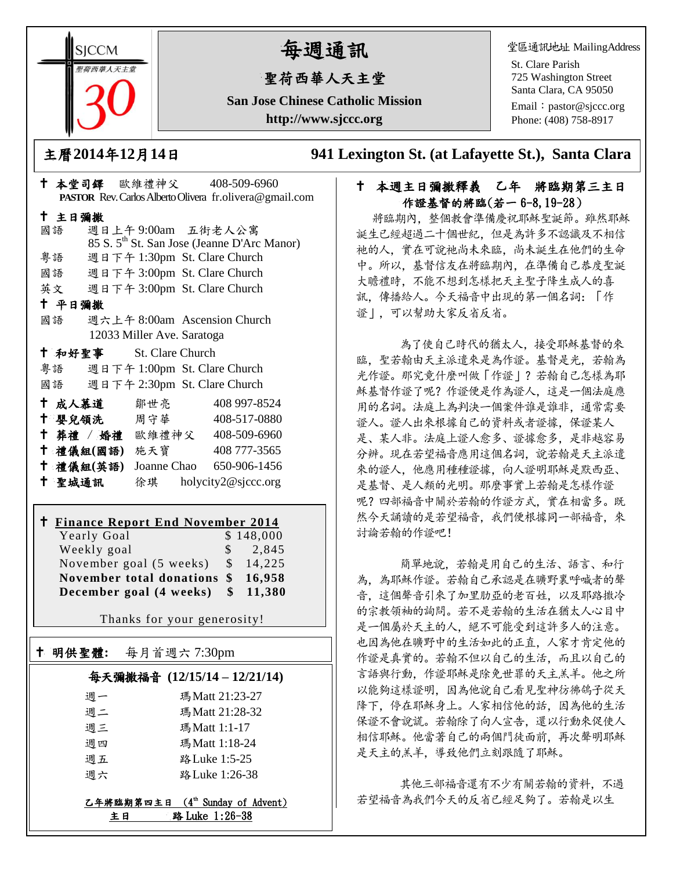**SICCM** 智荷西華人天主堂

# 每週通訊

# 聖荷西華人天主堂

**San Jose Chinese Catholic Mission http://www.sjccc.org**

堂區通訊地址 MailingAddress

St. Clare Parish 725 Washington Street Santa Clara, CA 95050

Email: [pastor@sjccc.org](mailto:pastor@sjccc.org) Phone: (408) 758-8917

主曆**2014**年**12**月**14**日 **941 Lexington St. (at Lafayette St.), Santa Clara** 

#### 本堂司鐸 歐維禮神父 408-509-6960 **PASTOR** Rev. Carlos Alberto Olivera fr.olivera@gmail.com 主日彌撒 國語 週日上午 9:00am 五街老人公寓 85 S. 5th St. San Jose (Jeanne D'Arc Manor) 粵語 週日下午 1:30pm St. Clare Church 國語 週日下午 3:00pm St. Clare Church 英文 週日下午 3:00pm St. Clare Church 平日彌撒 國語 週六上午 8:00am Ascension Church 12033 Miller Ave. Saratoga 和好聖事 St. Clare Church 粵語 週日下午 1:00pm St. Clare Church 國語 週日下午 2:30pm St. Clare Church 成人慕道 鄒世亮 408 997-8524 十 嬰兒領洗 周守華 408-517-0880 葬禮 / 婚禮 歐維禮神父 408-509-6960 禮儀組**(**國語**)** 施天寶 408 777-3565 禮儀組**(**英語**)** Joanne Chao 650-906-1456

聖城通訊 徐琪 holycity2@sjccc.org

## **Finance Report End November 2014**

Yearly Goal \$ 148,000 Weekly goal \$ 2,845 November goal (5 weeks) \$ 14,225 **November total donations \$ 16,958 December goal (4 weeks) \$ 11,380**

Thanks for your generosity!

# 明供聖體**:** 每月首週六 7:30pm 每天彌撒福音 **(12/15/14 – 12/21/14)**

Ξ

| 调一 | 瑪Matt 21:23-27  |  |
|----|-----------------|--|
| 週二 | 瑪 Matt 21:28-32 |  |
| 週三 | 瑪Matt 1:1-17    |  |
| 週四 | 瑪Matt 1:18-24   |  |
| 週五 | 路 Luke 1:5-25   |  |
| 调六 | 路 Luke 1:26-38  |  |
|    |                 |  |

乙年將臨期第四主日 ( $4<sup>th</sup>$  Sunday of Advent) 主日 路 Luke 1:26-38

#### 十 本週主日彌撒釋義 乙年 將臨期第三主日 作證基督的將臨(若一 6-8,19-28)

將臨期內,整個教會準備慶祝耶穌聖誕節。雖然耶穌 誕生已經超過二十個世紀,但是為許多不認識及不相信 祂的人,實在可說祂尚未來臨,尚未誕生在他們的生命 中。所以,基督信友在將臨期內,在準備自己恭度聖誕 大瞻禮時,不能不想到怎樣把天主聖子降生成人的喜 訊,傳播給人。今天福音中出現的第一個名詞:「作 證」,可以幫助大家反省反省。

 為了使自己時代的猶太人,接受耶穌基督的來 臨,聖若翰由天主派遣來是為作證。基督是光,若翰為 光作證。那究竟什麼叫做「作證」?若翰自己怎樣為耶 穌基督作證了呢?作證便是作為證人,這是一個法庭應 用的名詞。法庭上為判決一個案件誰是誰非,通常需要 證人。證人出來根據自己的資料或者證據,保證某人 是、某人非。法庭上證人愈多、證據愈多,是非越容易 分辨。現在若望福音應用這個名詞,說若翰是天主派遣 來的證人,他應用種種證據,向人證明耶穌是默西亞、 是基督、是人類的光明。那麼事實上若翰是怎樣作證 呢?四部福音中關於若翰的作證方式,實在相當多。既 然今天誦讀的是若望福音,我們便根據同一部福音,來 討論若翰的作證吧!

簡單地說,若翰是用自己的生活、語言、和行 為,為耶穌作證。若翰自己承認是在曠野裏呼喊者的聲 音,這個聲音引來了加里肋亞的老百姓,以及耶路撒冷 的宗教領袖的詢問。若不是若翰的生活在猶太人心目中 是一個屬於天主的人,絕不可能受到這許多人的注意。 也因為他在曠野中的生活如此的正直,人家才肯定他的 作證是真實的。若翰不但以自己的生活,而且以自己的 言語與行動,作證耶穌是除免世罪的天主羔羊。他之所 以能夠這樣證明,因為他說自己看見聖神彷彿鴿子從天 降下,停在耶穌身上。人家相信他的話,因為他的生活 保證不會說謊。若翰除了向人宣告,還以行動來促使人 相信耶穌。他當著自己的兩個門徒面前,再次聲明耶穌 是天主的羔羊,導致他們立刻跟隨了耶穌。

 其他三部福音還有不少有關若翰的資料,不過 若望福音為我們今天的反省已經足夠了。若翰是以生